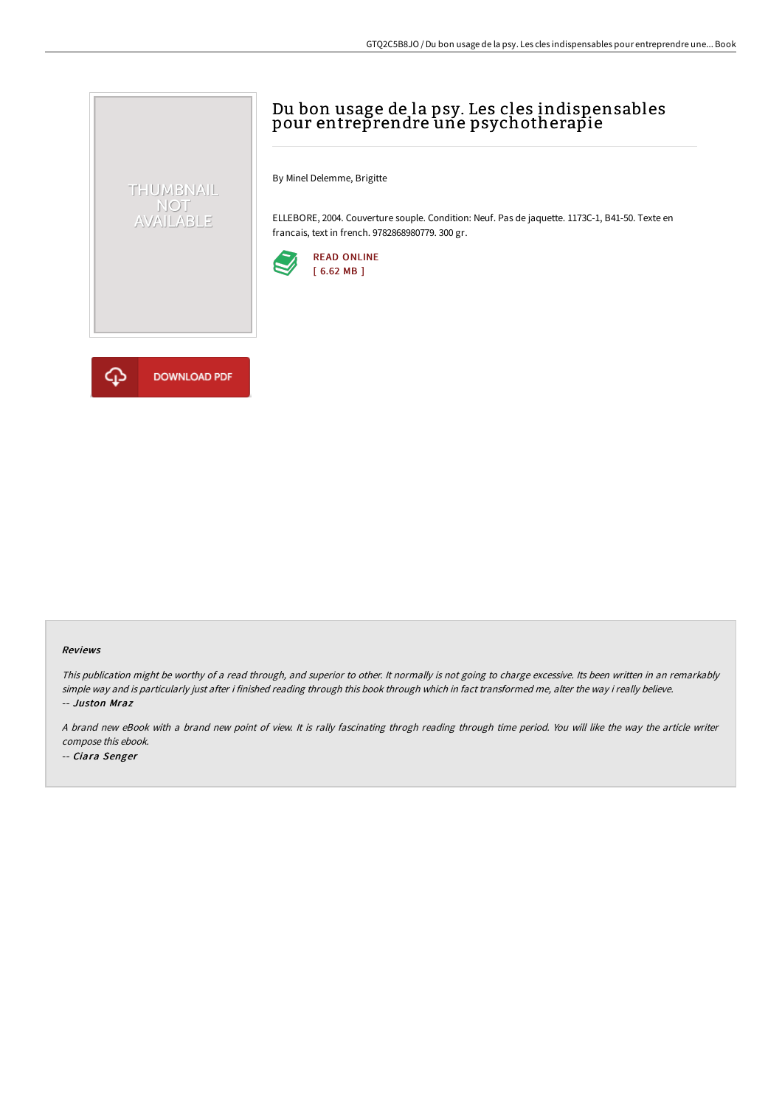# Du bon usage de la psy. Les cles indispensables pour entreprendre une psychotherapie

By Minel Delemme, Brigitte

ELLEBORE, 2004. Couverture souple. Condition: Neuf. Pas de jaquette. 1173C-1, B41-50. Texte en francais, text in french. 9782868980779. 300 gr.





THUMBNAIL NOT<br>AVAILABLE

#### Reviews

This publication might be worthy of <sup>a</sup> read through, and superior to other. It normally is not going to charge excessive. Its been written in an remarkably simple way and is particularly just after i finished reading through this book through which in fact transformed me, alter the way i really believe. -- Juston Mraz

<sup>A</sup> brand new eBook with <sup>a</sup> brand new point of view. It is rally fascinating throgh reading through time period. You will like the way the article writer compose this ebook.

-- Ciara Senger